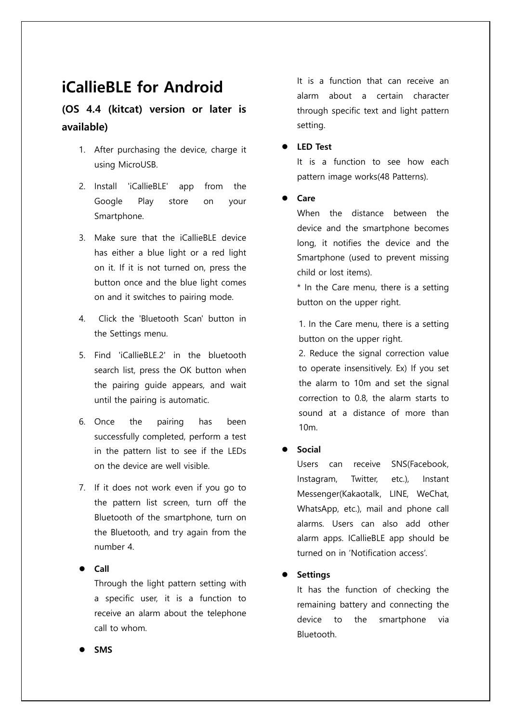# **iCallieBLE for Android**

### **(OS 4.4 (kitcat) version or later is available)**

- 1. After purchasing the device, charge it using MicroUSB.
- 2. Install 'iCallieBLE' app from the Google Play store on your Smartphone.
- 3. Make sure that the iCallieBLE device has either a blue light or a red light on it. If it is not turned on, press the button once and the blue light comes on and it switches to pairing mode.
- 4. Click the 'Bluetooth Scan' button in the Settings menu.
- 5. Find 'iCallieBLE.2' in the bluetooth search list, press the OK button when the pairing guide appears, and wait until the pairing is automatic.
- 6. Once the pairing has been successfully completed, perform a test in the pattern list to see if the LEDs on the device are well visible.
- 7. If it does not work even if you go to the pattern list screen, turn off the Bluetooth of the smartphone, turn on the Bluetooth, and try again from the number 4.

**Call**

Through the light pattern setting with a specific user, it is a function to receive an alarm about the telephone call to whom.

It is a function that can receive an alarm about a certain character through specific text and light pattern setting.

**LED Test** 

It is a function to see how each pattern image works(48 Patterns).

**Care**

When the distance between the device and the smartphone becomes long, it notifies the device and the Smartphone (used to prevent missing child or lost items).

\* In the Care menu, there is a setting button on the upper right.

1. In the Care menu, there is a setting button on the upper right.

2. Reduce the signal correction value to operate insensitively. Ex) If you set the alarm to 10m and set the signal correction to 0.8, the alarm starts to sound at a distance of more than 10m.

#### **Social**

Users can receive SNS(Facebook, Instagram, Twitter, etc.), Instant Messenger(Kakaotalk, LINE, WeChat, WhatsApp, etc.), mail and phone call alarms. Users can also add other alarm apps. ICallieBLE app should be turned on in 'Notification access'.

**Settings** 

It has the function of checking the remaining battery and connecting the device to the smartphone via Bluetooth.

**SMS**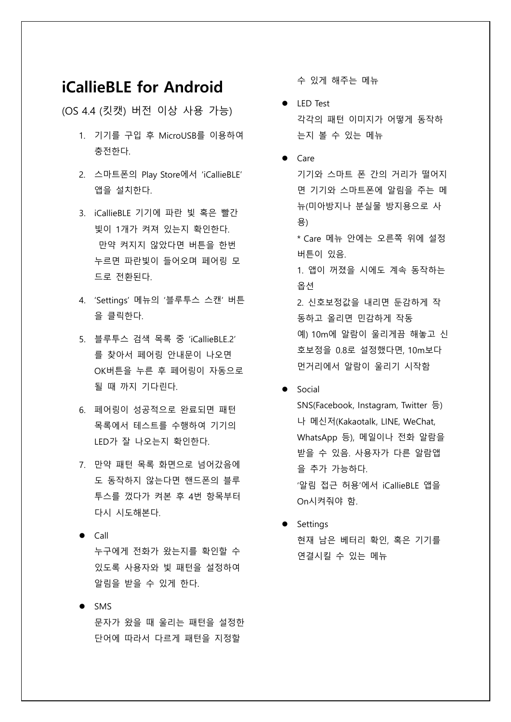## **iCallieBLE for Android**

(OS 4.4 (킷캣) 버전 이상 사용 가능)

- 1. 기기를 구입 후 MicroUSB를 이용하여 충전한다.
- 2. 스마트폰의 Play Store에서 'iCallieBLE' 앱을 설치한다.
- 3. iCallieBLE 기기에 파란 빛 혹은 빨간 빛이 1개가 켜져 있는지 확인한다. 만약 켜지지 않았다면 버튼을 한번 누르면 파란빛이 들어오며 페어링 모 드로 전환된다.
- 4. 'Settings' 메뉴의 '블루투스 스캔' 버튼 을 클릭한다.
- 5. 블루투스 검색 목록 중 'iCallieBLE.2' 를 찾아서 페어링 안내문이 나오면 OK버튼을 누른 후 페어링이 자동으로 될 때 까지 기다린다.
- 6. 페어링이 성공적으로 완료되면 패턴 목록에서 테스트를 수행하여 기기의 LED가 잘 나오는지 확인한다.
- 7. 만약 패턴 목록 화면으로 넘어갔음에 도 동작하지 않는다면 핸드폰의 블루 투스를 껐다가 켜본 후 4번 항목부터 다시 시도해본다.
- $\bullet$  Call 누구에게 전화가 왔는지를 확인할 수 있도록 사용자와 빛 패턴을 설정하여 알림을 받을 수 있게 한다.
- $\bullet$  SMS 문자가 왔을 때 울리는 패턴을 설정한 단어에 따라서 다르게 패턴을 지정할

수 있게 해주는 메뉴

- LED Test 각각의 패턴 이미지가 어떻게 동작하 는지 볼 수 있는 메뉴
- $\bullet$  Care

기기와 스마트 폰 간의 거리가 떨어지 면 기기와 스마트폰에 알림을 주는 메 뉴(미아방지나 분실물 방지용으로 사 용)

\* Care 메뉴 안에는 오른쪽 위에 설정 버튼이 있음.

1. 앱이 꺼졌을 시에도 계속 동작하는 옵션

2. 신호보정값을 내리면 둔감하게 작 동하고 올리면 민감하게 작동 예) 10m에 알람이 울리게끔 해놓고 신 호보정을 0.8로 설정했다면, 10m보다 먼거리에서 알람이 울리기 시작함

**•** Social

SNS(Facebook, Instagram, Twitter 등) 나 메신저(Kakaotalk, LINE, WeChat, WhatsApp 등), 메일이나 전화 알람을 받을 수 있음. 사용자가 다른 알람앱 을 추가 가능하다. '알림 접근 허용'에서 iCallieBLE 앱을 On시켜줘야 함.

• Settings 현재 남은 베터리 확인, 혹은 기기를 연결시킬 수 있는 메뉴